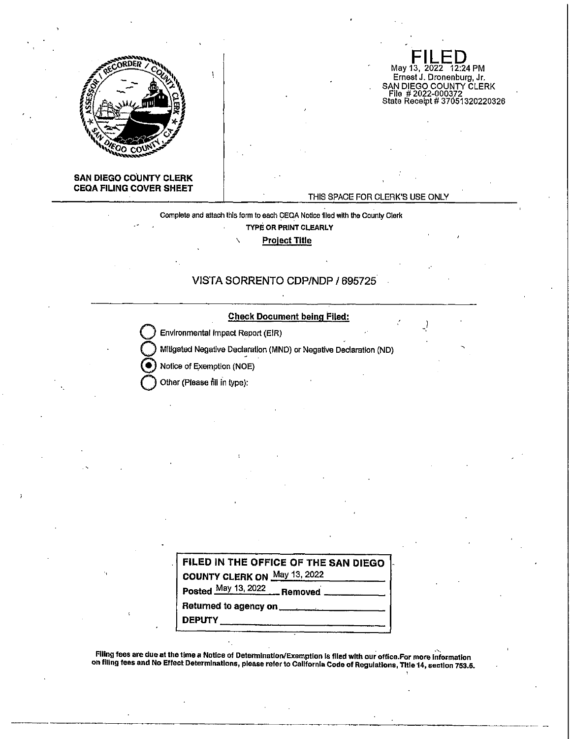

# **FILED**<br>May 13, 2022 12:24 PM Ernest J. Dronenburg, Jr. SAN DIEGO COUNTY CLERK<br>| File # 2022-000372<br>State Receipt # 37051320220326

#### **SAN DIEGO COUNTY CLERK CEQA FILING COVER SHEET**

#### THIS SPACE FOR CLERK'S USE ONLY

'

## Complete and attach this form to each 9EQA Notice 1lled with the County Clerk **TYPE OR PRINT CLEARLY**

, **Project Title** 

#### **VISTA SORRENTO CDP/NOP/ 695725**



**Q** Other (Please fill fn type):

| FILED IN THE OFFICE OF THE SAN DIEGO |  |  |  |  |  |
|--------------------------------------|--|--|--|--|--|
| COUNTY CLERK ON May 13, 2022         |  |  |  |  |  |
| Posted May 13, 2022 Removed          |  |  |  |  |  |
|                                      |  |  |  |  |  |
| <b>DEPUTY</b> ___________________    |  |  |  |  |  |

Filing fees are due at the time a Notice of Determination/Exemption is filed with our office.For more information<br>On filing fees and No Effect Determinations, please refer to California Code of Regulations, Title 14, secti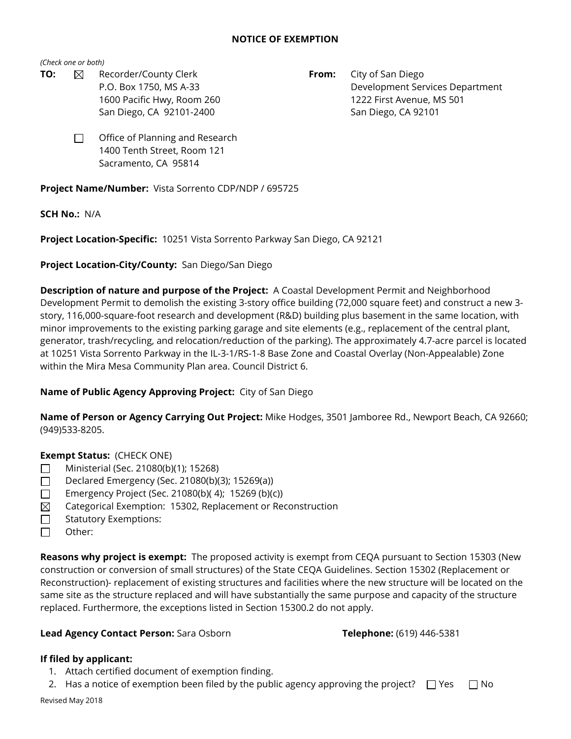#### **NOTICE OF EXEMPTION**

*(Check one or both)*

- **TO:**  $\boxtimes$  Recorder/County Clerk **From:** City of San Diego
	- P.O. Box 1750, MS A-33 Development Services Department 1600 Pacific Hwy, Room 260 1222 First Avenue, MS 501 San Diego, CA 92101-2400 San Diego, CA 92101
	- Office of Planning and Research 1400 Tenth Street, Room 121 Sacramento, CA 95814 □

**Project Name/Number:** Vista Sorrento CDP/NDP / 695725

**SCH No.:** N/A

**Project Location-Specific:** 10251 Vista Sorrento Parkway San Diego, CA 92121

**Project Location-City/County:** San Diego/San Diego

**Description of nature and purpose of the Project:** A Coastal Development Permit and Neighborhood Development Permit to demolish the existing 3-story office building (72,000 square feet) and construct a new 3 story, 116,000-square-foot research and development (R&D) building plus basement in the same location, with minor improvements to the existing parking garage and site elements (e.g., replacement of the central plant, generator, trash/recycling, and relocation/reduction of the parking). The approximately 4.7-acre parcel is located at 10251 Vista Sorrento Parkway in the IL-3-1/RS-1-8 Base Zone and Coastal Overlay (Non-Appealable) Zone within the Mira Mesa Community Plan area. Council District 6.

## **Name of Public Agency Approving Project:** City of San Diego

**Name of Person or Agency Carrying Out Project:** Mike Hodges, 3501 Jamboree Rd., Newport Beach, CA 92660; (949)533-8205.

## **Exempt Status:** (CHECK ONE)

- Ministerial (Sec. 21080(b)(1); 15268) □
- Declared Emergency (Sec. 21080(b)(3); 15269(a)) □
- Emergency Project (Sec. 21080(b)( 4); 15269 (b)(c)) □
- Categorical Exemption: 15302, Replacement or Reconstruction  $\boxtimes$
- Statutory Exemptions: □
- Other: □

**Reasons why project is exempt:** The proposed activity is exempt from CEQA pursuant to Section 15303 (New construction or conversion of small structures) of the State CEQA Guidelines. Section 15302 (Replacement or Reconstruction)- replacement of existing structures and facilities where the new structure will be located on the same site as the structure replaced and will have substantially the same purpose and capacity of the structure replaced. Furthermore, the exceptions listed in Section 15300.2 do not apply.

## **Lead Agency Contact Person:** Sara Osborn **Telephone:** (619) 446-5381

## **If filed by applicant:**

- 1. Attach certified document of exemption finding.
- 2. Has a notice of exemption been filed by the public agency approving the project?  $\Box$  Yes  $\Box$  No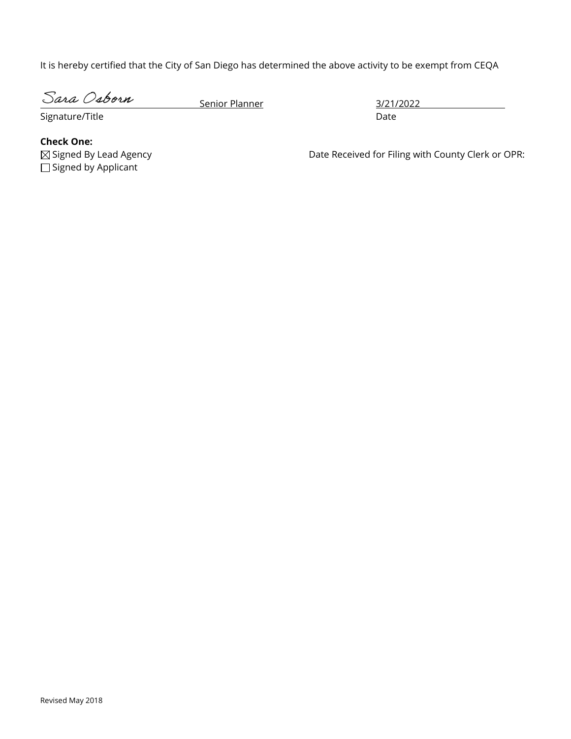It is hereby certified that the City of San Diego has determined the above activity to be exempt from CEQA

Sara Osborn

Senior Planner 3/21/2022

Signature/Title Date Date Date Date Date Date

**Check One:**  $\Box$  Signed by Applicant  $\boxtimes$  Signed By Lead Agency

Date Received for Filing with County Clerk or OPR: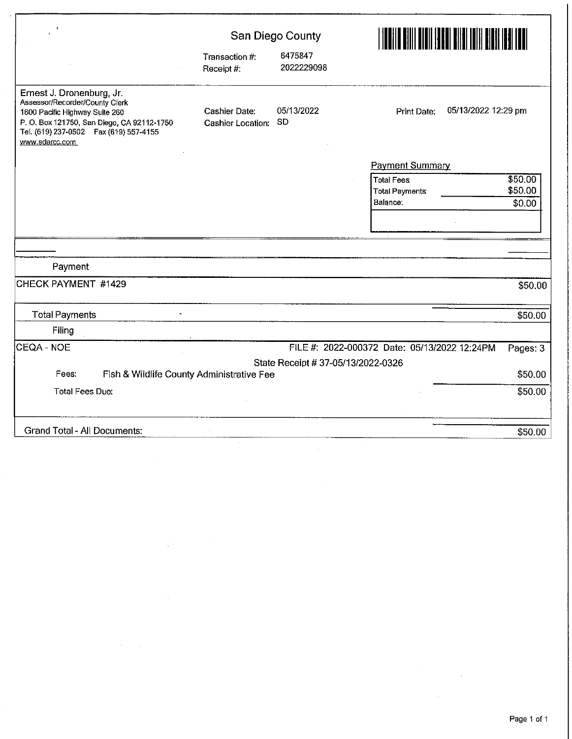| $\ddot{\phantom{1}}$                                                                                                                                                                                    |                                           | San Diego County                   |                                              |          |  |
|---------------------------------------------------------------------------------------------------------------------------------------------------------------------------------------------------------|-------------------------------------------|------------------------------------|----------------------------------------------|----------|--|
|                                                                                                                                                                                                         | Transaction #:<br>Receipt #:              | 6475847<br>2022229098              |                                              |          |  |
| Ernest J. Dronenburg, Jr.<br>Assessor/Recorder/County Clerk<br>1600 Pacific Highway Suite 260<br>P.O. Box 121750, San Diego, CA 92112-1750<br>Tel. (619) 237-0502  Fax (619) 557-4155<br>www.sdarcc.com | Cashier Date:<br>Cashier Location: SD     | 05/13/2022                         | 05/13/2022 12:29 pm<br>Print Date:           |          |  |
|                                                                                                                                                                                                         |                                           |                                    | <b>Payment Summary</b>                       |          |  |
|                                                                                                                                                                                                         |                                           |                                    | Total Fees                                   | \$50.00  |  |
|                                                                                                                                                                                                         |                                           |                                    | Total Payments                               | \$50.00  |  |
|                                                                                                                                                                                                         |                                           |                                    | Balance:                                     | \$0.00   |  |
|                                                                                                                                                                                                         |                                           |                                    |                                              |          |  |
| Payment                                                                                                                                                                                                 |                                           |                                    |                                              |          |  |
| CHECK PAYMENT #1429                                                                                                                                                                                     |                                           |                                    |                                              |          |  |
|                                                                                                                                                                                                         |                                           |                                    |                                              | \$50.00  |  |
| <b>Total Payments</b>                                                                                                                                                                                   |                                           |                                    |                                              | \$50.00  |  |
| Filing                                                                                                                                                                                                  |                                           |                                    |                                              |          |  |
| CEQA - NOE                                                                                                                                                                                              |                                           |                                    | FILE #: 2022-000372 Date: 05/13/2022 12:24PM | Pages: 3 |  |
|                                                                                                                                                                                                         |                                           | State Receipt # 37-05/13/2022-0326 |                                              |          |  |
| Fees:                                                                                                                                                                                                   | Fish & Wildlife County Administrative Fee |                                    |                                              | \$50.00  |  |
| <b>Total Fees Due:</b>                                                                                                                                                                                  |                                           |                                    |                                              | \$50.00  |  |
|                                                                                                                                                                                                         |                                           |                                    |                                              |          |  |
| <b>Grand Total - All Documents:</b>                                                                                                                                                                     |                                           |                                    |                                              | \$50.00  |  |

 $\label{eq:2} \begin{split} \mathcal{L}_{\text{max}}(\mathbf{r}) = \frac{1}{2} \mathcal{L}_{\text{max}}(\mathbf{r}) \mathcal{L}_{\text{max}}(\mathbf{r}) \mathcal{L}_{\text{max}}(\mathbf{r}) \mathcal{L}_{\text{max}}(\mathbf{r}) \mathcal{L}_{\text{max}}(\mathbf{r}) \mathcal{L}_{\text{max}}(\mathbf{r}) \mathcal{L}_{\text{max}}(\mathbf{r}) \mathcal{L}_{\text{max}}(\mathbf{r}) \mathcal{L}_{\text{max}}(\mathbf{r}) \mathcal{L}_{\text{max}}(\mathbf{r}) \mathcal{L}_{\text{max}}(\math$ 

 $\mathcal{L}^{\text{max}}_{\text{max}}$  , where  $\mathcal{L}^{\text{max}}_{\text{max}}$ 

ł,

 $\hat{\mathcal{A}}$ 

 $\sim 10^6$